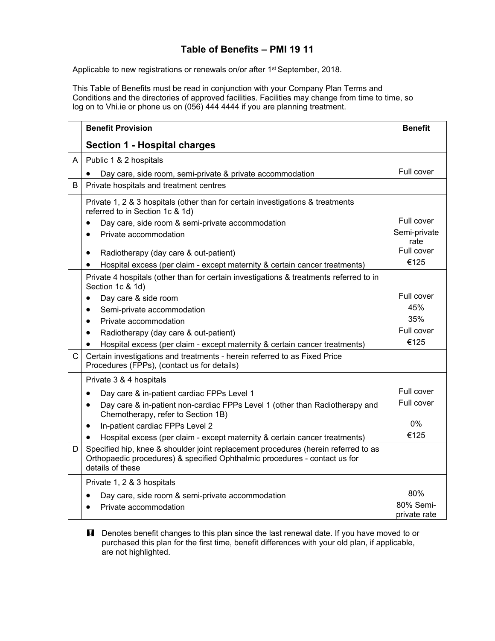## **Table of Benefits – PMI 19 11**

Applicable to new registrations or renewals on/or after 1<sup>st</sup> September, 2018.

This Table of Benefits must be read in conjunction with your Company Plan Terms and Conditions and the directories of approved facilities. Facilities may change from time to time, so log on to Vhi.ie or phone us on (056) 444 4444 if you are planning treatment.

|              | <b>Benefit Provision</b>                                                                                                                                                             | <b>Benefit</b> |
|--------------|--------------------------------------------------------------------------------------------------------------------------------------------------------------------------------------|----------------|
|              | <b>Section 1 - Hospital charges</b>                                                                                                                                                  |                |
| A            | Public 1 & 2 hospitals                                                                                                                                                               |                |
|              | Day care, side room, semi-private & private accommodation                                                                                                                            | Full cover     |
| B            | Private hospitals and treatment centres                                                                                                                                              |                |
|              | Private 1, 2 & 3 hospitals (other than for certain investigations & treatments<br>referred to in Section 1c & 1d)                                                                    | Full cover     |
|              | Day care, side room & semi-private accommodation                                                                                                                                     | Semi-private   |
|              | Private accommodation<br>$\bullet$                                                                                                                                                   | rate           |
|              | Radiotherapy (day care & out-patient)<br>$\bullet$                                                                                                                                   | Full cover     |
|              | Hospital excess (per claim - except maternity & certain cancer treatments)<br>$\bullet$                                                                                              | €125           |
|              | Private 4 hospitals (other than for certain investigations & treatments referred to in<br>Section 1c & 1d)                                                                           |                |
|              | Day care & side room                                                                                                                                                                 | Full cover     |
|              | Semi-private accommodation<br>$\bullet$                                                                                                                                              | 45%            |
|              | Private accommodation<br>$\bullet$                                                                                                                                                   | 35%            |
|              | Radiotherapy (day care & out-patient)<br>$\bullet$                                                                                                                                   | Full cover     |
|              | Hospital excess (per claim - except maternity & certain cancer treatments)                                                                                                           | €125           |
| $\mathsf{C}$ | Certain investigations and treatments - herein referred to as Fixed Price<br>Procedures (FPPs), (contact us for details)                                                             |                |
|              | Private 3 & 4 hospitals                                                                                                                                                              |                |
|              | Day care & in-patient cardiac FPPs Level 1<br>$\bullet$                                                                                                                              | Full cover     |
|              | Day care & in-patient non-cardiac FPPs Level 1 (other than Radiotherapy and<br>$\bullet$<br>Chemotherapy, refer to Section 1B)                                                       | Full cover     |
|              | In-patient cardiac FPPs Level 2<br>$\bullet$                                                                                                                                         | 0%             |
|              | Hospital excess (per claim - except maternity & certain cancer treatments)                                                                                                           | €125           |
| D            | Specified hip, knee & shoulder joint replacement procedures (herein referred to as<br>Orthopaedic procedures) & specified Ophthalmic procedures - contact us for<br>details of these |                |
|              | Private 1, 2 & 3 hospitals                                                                                                                                                           |                |
|              | Day care, side room & semi-private accommodation                                                                                                                                     | 80%            |
|              | Private accommodation                                                                                                                                                                | 80% Semi-      |
|              |                                                                                                                                                                                      | private rate   |

**H** Denotes benefit changes to this plan since the last renewal date. If you have moved to or purchased this plan for the first time, benefit differences with your old plan, if applicable, are not highlighted.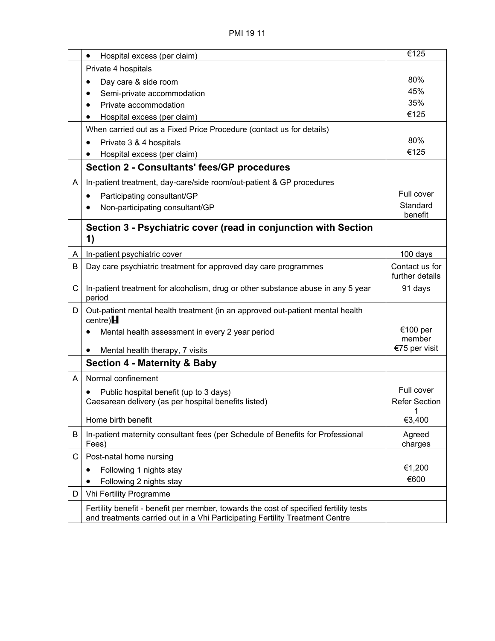|   | Hospital excess (per claim)<br>$\bullet$                                                                                                                              | €125                              |
|---|-----------------------------------------------------------------------------------------------------------------------------------------------------------------------|-----------------------------------|
|   | Private 4 hospitals                                                                                                                                                   |                                   |
|   | Day care & side room                                                                                                                                                  | 80%                               |
|   | Semi-private accommodation                                                                                                                                            | 45%                               |
|   | Private accommodation                                                                                                                                                 | 35%                               |
|   | Hospital excess (per claim)                                                                                                                                           | €125                              |
|   | When carried out as a Fixed Price Procedure (contact us for details)                                                                                                  |                                   |
|   | Private 3 & 4 hospitals<br>$\bullet$                                                                                                                                  | 80%                               |
|   | Hospital excess (per claim)                                                                                                                                           | €125                              |
|   | <b>Section 2 - Consultants' fees/GP procedures</b>                                                                                                                    |                                   |
| A | In-patient treatment, day-care/side room/out-patient & GP procedures                                                                                                  |                                   |
|   | Participating consultant/GP<br>$\bullet$                                                                                                                              | Full cover                        |
|   | Non-participating consultant/GP                                                                                                                                       | Standard<br>benefit               |
|   | Section 3 - Psychiatric cover (read in conjunction with Section<br>1)                                                                                                 |                                   |
| A | In-patient psychiatric cover                                                                                                                                          | 100 days                          |
| В | Day care psychiatric treatment for approved day care programmes                                                                                                       | Contact us for<br>further details |
| C | In-patient treatment for alcoholism, drug or other substance abuse in any 5 year<br>period                                                                            | 91 days                           |
| D | Out-patient mental health treatment (in an approved out-patient mental health<br>centre) $H$                                                                          |                                   |
|   | Mental health assessment in every 2 year period                                                                                                                       | €100 per<br>member                |
|   | Mental health therapy, 7 visits<br>$\bullet$                                                                                                                          | €75 per visit                     |
|   | <b>Section 4 - Maternity &amp; Baby</b>                                                                                                                               |                                   |
| A | Normal confinement                                                                                                                                                    |                                   |
|   | Public hospital benefit (up to 3 days)                                                                                                                                | Full cover                        |
|   | Caesarean delivery (as per hospital benefits listed)                                                                                                                  | <b>Refer Section</b>              |
|   | Home birth benefit                                                                                                                                                    | $\overline{1}$<br>€3,400          |
| В | In-patient maternity consultant fees (per Schedule of Benefits for Professional                                                                                       |                                   |
|   | Fees)                                                                                                                                                                 | Agreed<br>charges                 |
| С | Post-natal home nursing                                                                                                                                               |                                   |
|   | Following 1 nights stay<br>٠                                                                                                                                          | €1,200                            |
|   | Following 2 nights stay                                                                                                                                               | €600                              |
| D | Vhi Fertility Programme                                                                                                                                               |                                   |
|   | Fertility benefit - benefit per member, towards the cost of specified fertility tests<br>and treatments carried out in a Vhi Participating Fertility Treatment Centre |                                   |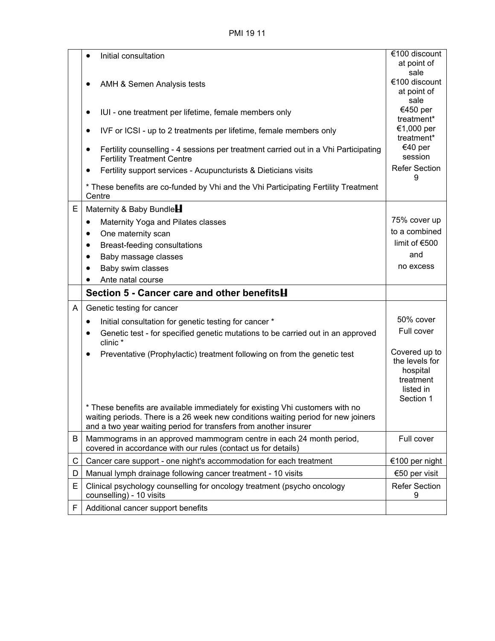PMI 19 11

| at point of<br>sale<br>€100 discount<br>AMH & Semen Analysis tests<br>at point of<br>sale<br>€450 per<br>IUI - one treatment per lifetime, female members only<br>$\bullet$<br>treatment*                                            |
|--------------------------------------------------------------------------------------------------------------------------------------------------------------------------------------------------------------------------------------|
|                                                                                                                                                                                                                                      |
|                                                                                                                                                                                                                                      |
| €1,000 per<br>IVF or ICSI - up to 2 treatments per lifetime, female members only<br>$\bullet$<br>treatment*                                                                                                                          |
| €40 per<br>Fertility counselling - 4 sessions per treatment carried out in a Vhi Participating<br>session<br><b>Fertility Treatment Centre</b>                                                                                       |
| <b>Refer Section</b><br>Fertility support services - Acupuncturists & Dieticians visits<br>9                                                                                                                                         |
| * These benefits are co-funded by Vhi and the Vhi Participating Fertility Treatment<br>Centre                                                                                                                                        |
| E<br>Maternity & Baby Bundle                                                                                                                                                                                                         |
| 75% cover up<br>Maternity Yoga and Pilates classes<br>٠                                                                                                                                                                              |
| to a combined<br>One maternity scan<br>٠                                                                                                                                                                                             |
| limit of €500<br>Breast-feeding consultations<br>$\bullet$                                                                                                                                                                           |
| and<br>Baby massage classes<br>$\bullet$                                                                                                                                                                                             |
| no excess<br>Baby swim classes<br>$\bullet$                                                                                                                                                                                          |
| Ante natal course                                                                                                                                                                                                                    |
| Section 5 - Cancer care and other benefits H                                                                                                                                                                                         |
| Genetic testing for cancer<br>A                                                                                                                                                                                                      |
| 50% cover<br>Initial consultation for genetic testing for cancer *<br>٠                                                                                                                                                              |
| Full cover<br>Genetic test - for specified genetic mutations to be carried out in an approved<br>clinic*                                                                                                                             |
| Covered up to<br>Preventative (Prophylactic) treatment following on from the genetic test<br>the levels for<br>hospital<br>treatment<br>listed in<br>Section 1                                                                       |
| These benefits are available immediately for existing Vhi customers with no<br>waiting periods. There is a 26 week new conditions waiting period for new joiners<br>and a two year waiting period for transfers from another insurer |
| В<br>Mammograms in an approved mammogram centre in each 24 month period,<br>Full cover<br>covered in accordance with our rules (contact us for details)                                                                              |
| Cancer care support - one night's accommodation for each treatment<br>€100 per night<br>С                                                                                                                                            |
| Manual lymph drainage following cancer treatment - 10 visits<br>€50 per visit<br>D                                                                                                                                                   |
| <b>Refer Section</b><br>Е<br>Clinical psychology counselling for oncology treatment (psycho oncology<br>counselling) - 10 visits<br>9                                                                                                |
| Additional cancer support benefits<br>F                                                                                                                                                                                              |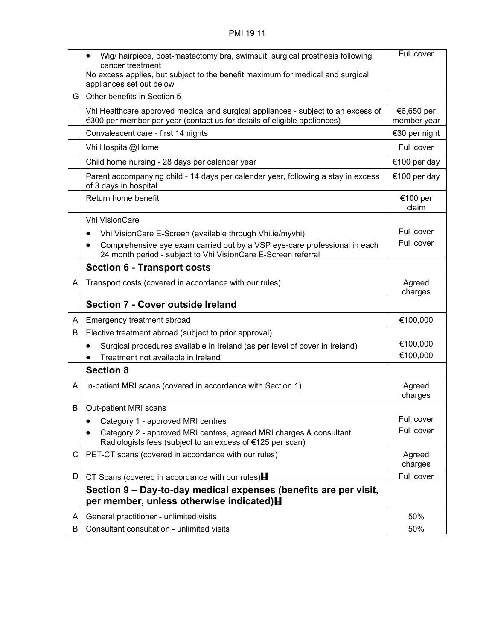|    | Wig/ hairpiece, post-mastectomy bra, swimsuit, surgical prosthesis following<br>$\bullet$<br>cancer treatment<br>No excess applies, but subject to the benefit maximum for medical and surgical | Full cover                |
|----|-------------------------------------------------------------------------------------------------------------------------------------------------------------------------------------------------|---------------------------|
|    | appliances set out below                                                                                                                                                                        |                           |
| G  | Other benefits in Section 5                                                                                                                                                                     |                           |
|    | Vhi Healthcare approved medical and surgical appliances - subject to an excess of<br>€300 per member per year (contact us for details of eligible appliances)                                   | €6,650 per<br>member year |
|    | Convalescent care - first 14 nights                                                                                                                                                             | €30 per night             |
|    | Vhi Hospital@Home                                                                                                                                                                               | Full cover                |
|    | Child home nursing - 28 days per calendar year                                                                                                                                                  | €100 per day              |
|    | Parent accompanying child - 14 days per calendar year, following a stay in excess<br>of 3 days in hospital                                                                                      | €100 per day              |
|    | Return home benefit                                                                                                                                                                             | €100 per<br>claim         |
|    | <b>Vhi VisionCare</b>                                                                                                                                                                           |                           |
|    | Vhi VisionCare E-Screen (available through Vhi.ie/myvhi)<br>$\bullet$                                                                                                                           | Full cover                |
|    | Comprehensive eye exam carried out by a VSP eye-care professional in each<br>٠<br>24 month period - subject to Vhi VisionCare E-Screen referral                                                 | Full cover                |
|    | <b>Section 6 - Transport costs</b>                                                                                                                                                              |                           |
| A  | Transport costs (covered in accordance with our rules)                                                                                                                                          | Agreed<br>charges         |
|    | <b>Section 7 - Cover outside Ireland</b>                                                                                                                                                        |                           |
| A  | Emergency treatment abroad                                                                                                                                                                      | €100,000                  |
| B  | Elective treatment abroad (subject to prior approval)                                                                                                                                           |                           |
|    | Surgical procedures available in Ireland (as per level of cover in Ireland)<br>٠                                                                                                                | €100,000                  |
|    | Treatment not available in Ireland                                                                                                                                                              | €100,000                  |
|    | <b>Section 8</b>                                                                                                                                                                                |                           |
| A  | In-patient MRI scans (covered in accordance with Section 1)                                                                                                                                     | Agreed<br>charges         |
| B  | Out-patient MRI scans                                                                                                                                                                           |                           |
|    | Category 1 - approved MRI centres                                                                                                                                                               | Full cover                |
|    | Category 2 - approved MRI centres, agreed MRI charges & consultant<br>Radiologists fees (subject to an excess of €125 per scan)                                                                 | Full cover                |
| C  | PET-CT scans (covered in accordance with our rules)                                                                                                                                             | Agreed<br>charges         |
| D. | CT Scans (covered in accordance with our rules) $\blacksquare$                                                                                                                                  | Full cover                |
|    | Section 9 – Day-to-day medical expenses (benefits are per visit,<br>per member, unless otherwise indicated) H                                                                                   |                           |
| A  | General practitioner - unlimited visits                                                                                                                                                         | 50%                       |
| B  | Consultant consultation - unlimited visits                                                                                                                                                      | 50%                       |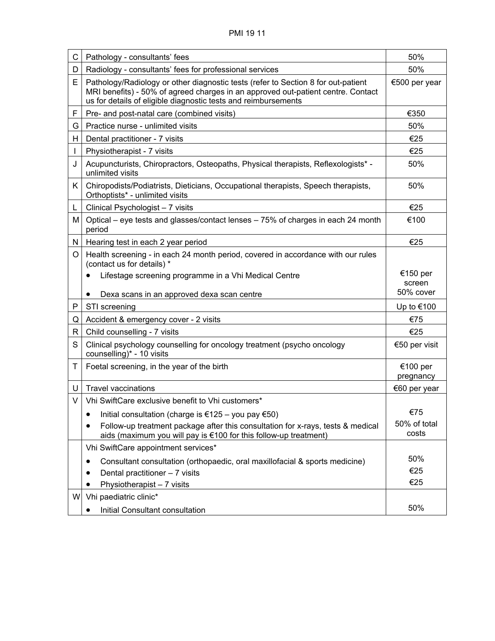| С  | Pathology - consultants' fees                                                                                                                                                                                                           | 50%                   |
|----|-----------------------------------------------------------------------------------------------------------------------------------------------------------------------------------------------------------------------------------------|-----------------------|
| D  | Radiology - consultants' fees for professional services                                                                                                                                                                                 | 50%                   |
| E  | Pathology/Radiology or other diagnostic tests (refer to Section 8 for out-patient<br>MRI benefits) - 50% of agreed charges in an approved out-patient centre. Contact<br>us for details of eligible diagnostic tests and reimbursements | €500 per year         |
| F  | Pre- and post-natal care (combined visits)                                                                                                                                                                                              | €350                  |
| G  | Practice nurse - unlimited visits                                                                                                                                                                                                       | 50%                   |
| H  | Dental practitioner - 7 visits                                                                                                                                                                                                          | €25                   |
|    | Physiotherapist - 7 visits                                                                                                                                                                                                              | €25                   |
| J  | Acupuncturists, Chiropractors, Osteopaths, Physical therapists, Reflexologists* -<br>unlimited visits                                                                                                                                   | 50%                   |
| K. | Chiropodists/Podiatrists, Dieticians, Occupational therapists, Speech therapists,<br>Orthoptists* - unlimited visits                                                                                                                    | 50%                   |
| L  | Clinical Psychologist - 7 visits                                                                                                                                                                                                        | €25                   |
| Μ  | Optical – eye tests and glasses/contact lenses – 75% of charges in each 24 month<br>period                                                                                                                                              | €100                  |
| N  | Hearing test in each 2 year period                                                                                                                                                                                                      | €25                   |
| O  | Health screening - in each 24 month period, covered in accordance with our rules<br>(contact us for details) *                                                                                                                          |                       |
|    | Lifestage screening programme in a Vhi Medical Centre                                                                                                                                                                                   | €150 per              |
|    |                                                                                                                                                                                                                                         | screen<br>50% cover   |
|    | Dexa scans in an approved dexa scan centre<br>$\bullet$                                                                                                                                                                                 |                       |
| Ρ  | STI screening                                                                                                                                                                                                                           | Up to €100            |
| Q  | Accident & emergency cover - 2 visits                                                                                                                                                                                                   | €75                   |
| R. | Child counselling - 7 visits                                                                                                                                                                                                            | €25                   |
| S  | Clinical psychology counselling for oncology treatment (psycho oncology<br>counselling)* - 10 visits                                                                                                                                    | €50 per visit         |
| T  | Foetal screening, in the year of the birth                                                                                                                                                                                              | €100 per<br>pregnancy |
| U  | <b>Travel vaccinations</b>                                                                                                                                                                                                              | €60 per year          |
| V  | Vhi SwiftCare exclusive benefit to Vhi customers*                                                                                                                                                                                       |                       |
|    | Initial consultation (charge is €125 – you pay €50)<br>$\bullet$                                                                                                                                                                        | €75                   |
|    | Follow-up treatment package after this consultation for x-rays, tests & medical<br>$\bullet$<br>aids (maximum you will pay is €100 for this follow-up treatment)                                                                        | 50% of total<br>costs |
|    | Vhi SwiftCare appointment services*                                                                                                                                                                                                     |                       |
|    | Consultant consultation (orthopaedic, oral maxillofacial & sports medicine)                                                                                                                                                             | 50%                   |
|    | Dental practitioner - 7 visits                                                                                                                                                                                                          | €25                   |
|    | Physiotherapist - 7 visits                                                                                                                                                                                                              | €25                   |
| W  | Vhi paediatric clinic*                                                                                                                                                                                                                  |                       |
|    | Initial Consultant consultation                                                                                                                                                                                                         | 50%                   |